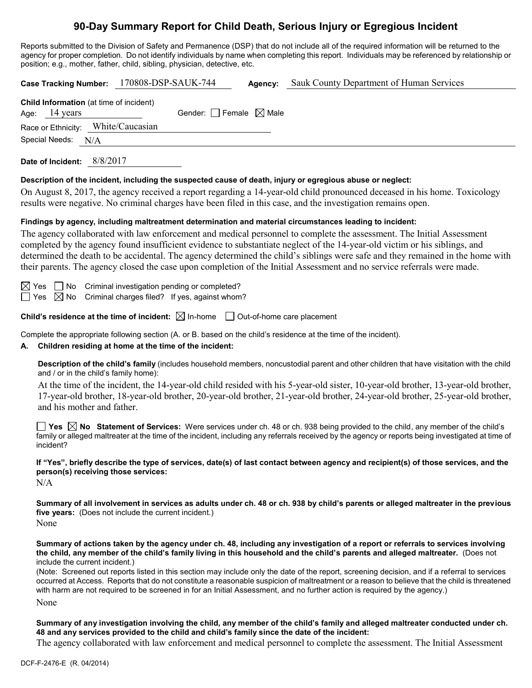## **90-Day Summary Report for Child Death, Serious Injury or Egregious Incident**

Reports submitted to the Division of Safety and Permanence (DSP) that do not include all of the required information will be returned to the agency for proper completion. Do not identify individuals by name when completing this report. Individuals may be referenced by relationship or position; e.g., mother, father, child, sibling, physician, detective, etc.

| 170808-DSP-SAUK-744<br>Sauk County Department of Human Services<br><b>Case Tracking Number:</b><br>Agency:                                                                                                                                                                                                                                                                                                                                                                                                                                                                                                                                                                                                                         |  |  |  |  |
|------------------------------------------------------------------------------------------------------------------------------------------------------------------------------------------------------------------------------------------------------------------------------------------------------------------------------------------------------------------------------------------------------------------------------------------------------------------------------------------------------------------------------------------------------------------------------------------------------------------------------------------------------------------------------------------------------------------------------------|--|--|--|--|
| Child Information (at time of incident)<br>Gender: Female $\boxtimes$ Male<br>14 years<br>Age:<br>White/Caucasian<br>Race or Ethnicity:<br>Special Needs: N/A                                                                                                                                                                                                                                                                                                                                                                                                                                                                                                                                                                      |  |  |  |  |
| Date of Incident: 8/8/2017                                                                                                                                                                                                                                                                                                                                                                                                                                                                                                                                                                                                                                                                                                         |  |  |  |  |
| Description of the incident, including the suspected cause of death, injury or egregious abuse or neglect:<br>On August 8, 2017, the agency received a report regarding a 14-year-old child pronounced deceased in his home. Toxicology<br>results were negative. No criminal charges have been filed in this case, and the investigation remains open.                                                                                                                                                                                                                                                                                                                                                                            |  |  |  |  |
| Findings by agency, including maltreatment determination and material circumstances leading to incident:<br>The agency collaborated with law enforcement and medical personnel to complete the assessment. The Initial Assessment<br>completed by the agency found insufficient evidence to substantiate neglect of the 14-year-old victim or his siblings, and<br>determined the death to be accidental. The agency determined the child's siblings were safe and they remained in the home with<br>their parents. The agency closed the case upon completion of the Initial Assessment and no service referrals were made.                                                                                                       |  |  |  |  |
| Criminal investigation pending or completed?<br>$\boxtimes$ Yes $\Box$ No<br>$\boxtimes$ No<br>Criminal charges filed? If yes, against whom?<br>$\Box$ Yes                                                                                                                                                                                                                                                                                                                                                                                                                                                                                                                                                                         |  |  |  |  |
| Child's residence at the time of incident: $\boxtimes$ In-home $\Box$ Out-of-home care placement                                                                                                                                                                                                                                                                                                                                                                                                                                                                                                                                                                                                                                   |  |  |  |  |
| Complete the appropriate following section (A. or B. based on the child's residence at the time of the incident).<br>Children residing at home at the time of the incident:<br>А.                                                                                                                                                                                                                                                                                                                                                                                                                                                                                                                                                  |  |  |  |  |
| Description of the child's family (includes household members, noncustodial parent and other children that have visitation with the child<br>and / or in the child's family home):                                                                                                                                                                                                                                                                                                                                                                                                                                                                                                                                                 |  |  |  |  |
| At the time of the incident, the 14-year-old child resided with his 5-year-old sister, 10-year-old brother, 13-year-old brother,<br>17-year-old brother, 18-year-old brother, 20-year-old brother, 21-year-old brother, 24-year-old brother, 25-year-old brother,<br>and his mother and father.                                                                                                                                                                                                                                                                                                                                                                                                                                    |  |  |  |  |
| family or alleged maltreater at the time of the incident, including any referrals received by the agency or reports being investigated at time of<br>incident?                                                                                                                                                                                                                                                                                                                                                                                                                                                                                                                                                                     |  |  |  |  |
| If "Yes", briefly describe the type of services, date(s) of last contact between agency and recipient(s) of those services, and the<br>person(s) receiving those services:<br>N/A                                                                                                                                                                                                                                                                                                                                                                                                                                                                                                                                                  |  |  |  |  |
| Summary of all involvement in services as adults under ch. 48 or ch. 938 by child's parents or alleged maltreater in the previous<br>five years: (Does not include the current incident.)<br>None                                                                                                                                                                                                                                                                                                                                                                                                                                                                                                                                  |  |  |  |  |
| Summary of actions taken by the agency under ch. 48, including any investigation of a report or referrals to services involving<br>the child, any member of the child's family living in this household and the child's parents and alleged maltreater. (Does not<br>include the current incident.)<br>(Note: Screened out reports listed in this section may include only the date of the report, screening decision, and if a referral to services<br>occurred at Access. Reports that do not constitute a reasonable suspicion of maltreatment or a reason to believe that the child is threatened<br>with harm are not required to be screened in for an Initial Assessment, and no further action is required by the agency.) |  |  |  |  |
| None                                                                                                                                                                                                                                                                                                                                                                                                                                                                                                                                                                                                                                                                                                                               |  |  |  |  |
| Summary of any investigation involving the child, any member of the child's family and alleged maltreater conducted under ch.<br>48 and any services provided to the child and child's family since the date of the incident:                                                                                                                                                                                                                                                                                                                                                                                                                                                                                                      |  |  |  |  |

The agency collaborated with law enforcement and medical personnel to complete the assessment. The Initial Assessment